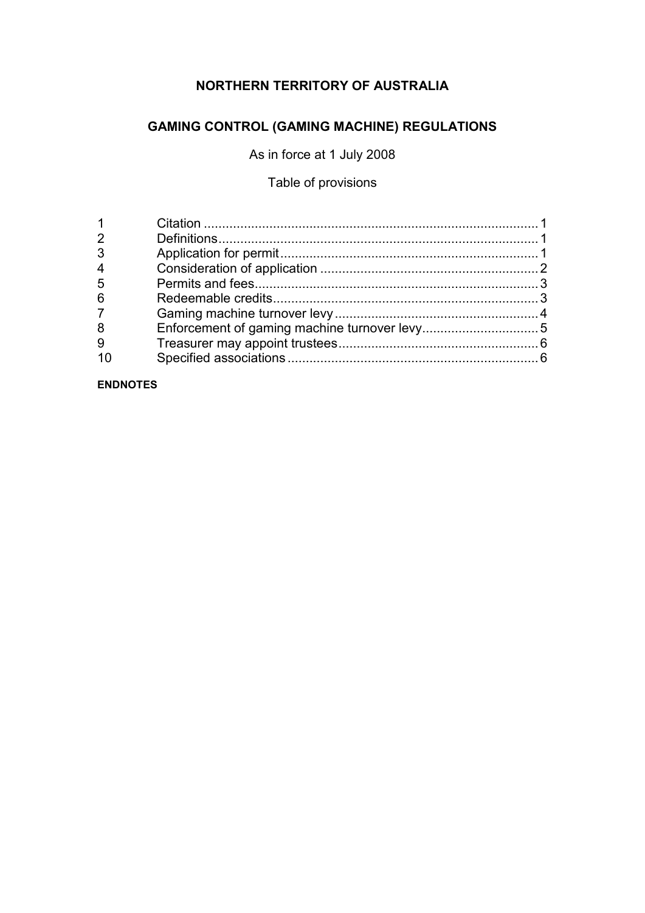# **NORTHERN TERRITORY OF AUSTRALIA**

# **GAMING CONTROL (GAMING MACHINE) REGULATIONS**

As in force at 1 July 2008

## Table of provisions

#### **ENDNOTES**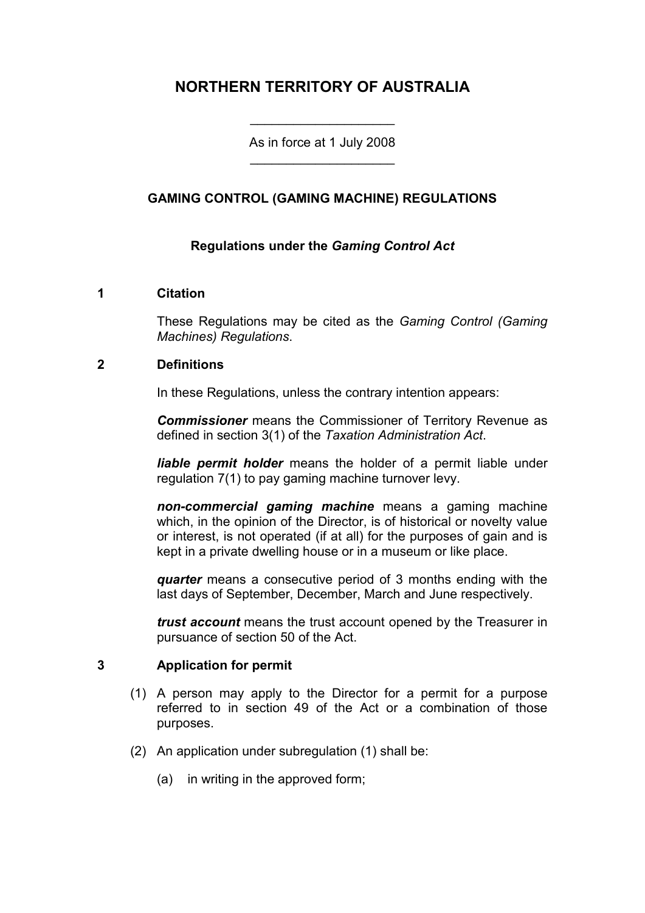# **NORTHERN TERRITORY OF AUSTRALIA**

As in force at 1 July 2008 \_\_\_\_\_\_\_\_\_\_\_\_\_\_\_\_\_\_\_\_

\_\_\_\_\_\_\_\_\_\_\_\_\_\_\_\_\_\_\_\_

#### **GAMING CONTROL (GAMING MACHINE) REGULATIONS**

#### **Regulations under the** *Gaming Control Act*

#### **1 Citation**

These Regulations may be cited as the *Gaming Control (Gaming Machines) Regulations*.

#### **2 Definitions**

In these Regulations, unless the contrary intention appears:

*Commissioner* means the Commissioner of Territory Revenue as defined in section 3(1) of the *Taxation Administration Act*.

*liable permit holder* means the holder of a permit liable under regulation 7(1) to pay gaming machine turnover levy.

*non-commercial gaming machine* means a gaming machine which, in the opinion of the Director, is of historical or novelty value or interest, is not operated (if at all) for the purposes of gain and is kept in a private dwelling house or in a museum or like place.

*quarter* means a consecutive period of 3 months ending with the last days of September, December, March and June respectively.

*trust account* means the trust account opened by the Treasurer in pursuance of section 50 of the Act.

#### **3 Application for permit**

- (1) A person may apply to the Director for a permit for a purpose referred to in section 49 of the Act or a combination of those purposes.
- (2) An application under subregulation (1) shall be:
	- (a) in writing in the approved form;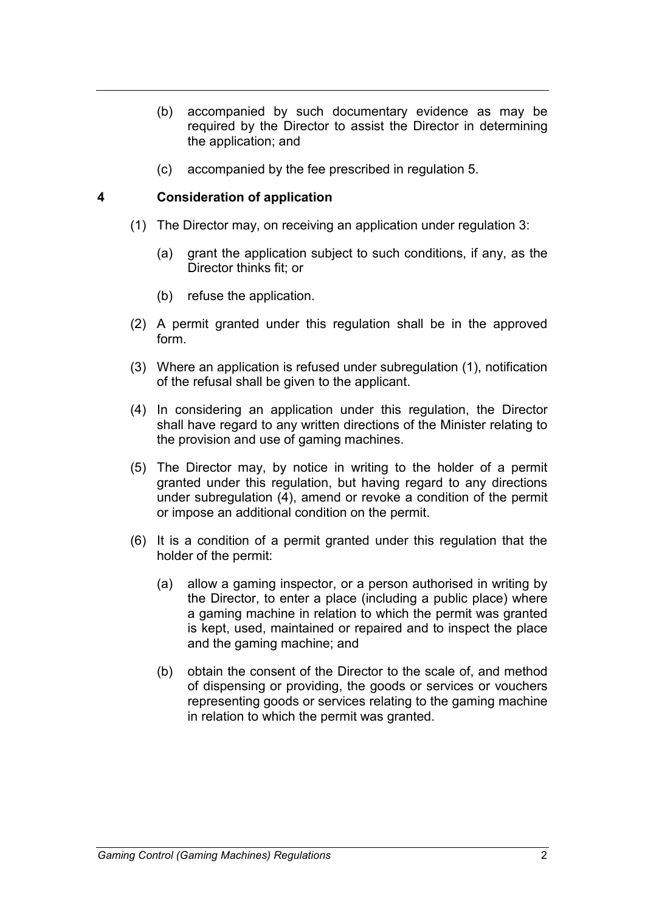- (b) accompanied by such documentary evidence as may be required by the Director to assist the Director in determining the application; and
- (c) accompanied by the fee prescribed in regulation 5.

#### **4 Consideration of application**

- (1) The Director may, on receiving an application under regulation 3:
	- (a) grant the application subject to such conditions, if any, as the Director thinks fit; or
	- (b) refuse the application.
- (2) A permit granted under this regulation shall be in the approved form.
- (3) Where an application is refused under subregulation (1), notification of the refusal shall be given to the applicant.
- (4) In considering an application under this regulation, the Director shall have regard to any written directions of the Minister relating to the provision and use of gaming machines.
- (5) The Director may, by notice in writing to the holder of a permit granted under this regulation, but having regard to any directions under subregulation (4), amend or revoke a condition of the permit or impose an additional condition on the permit.
- (6) It is a condition of a permit granted under this regulation that the holder of the permit:
	- (a) allow a gaming inspector, or a person authorised in writing by the Director, to enter a place (including a public place) where a gaming machine in relation to which the permit was granted is kept, used, maintained or repaired and to inspect the place and the gaming machine; and
	- (b) obtain the consent of the Director to the scale of, and method of dispensing or providing, the goods or services or vouchers representing goods or services relating to the gaming machine in relation to which the permit was granted.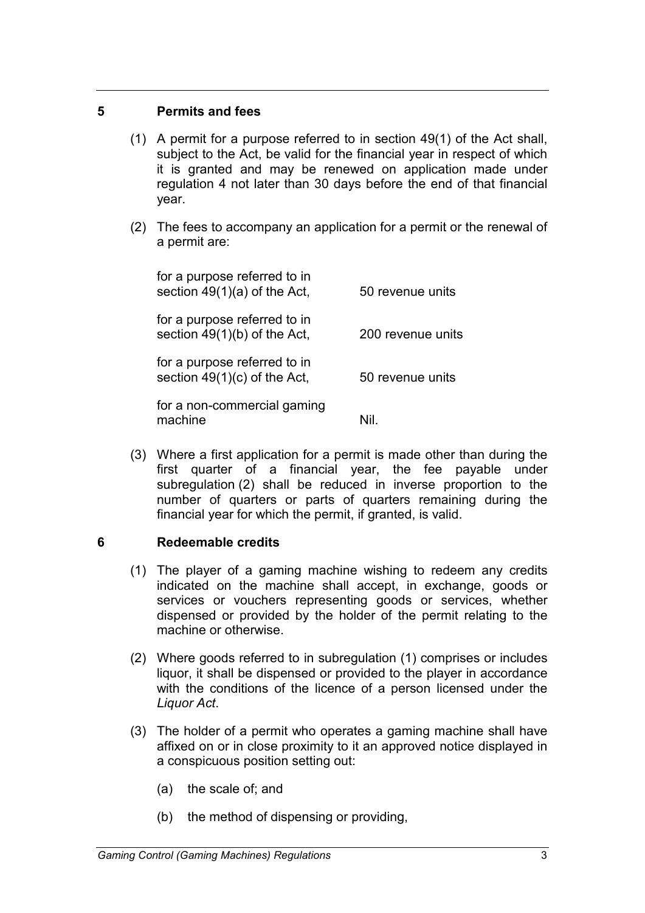#### **5 Permits and fees**

- (1) A permit for a purpose referred to in section 49(1) of the Act shall, subject to the Act, be valid for the financial year in respect of which it is granted and may be renewed on application made under regulation 4 not later than 30 days before the end of that financial year.
- (2) The fees to accompany an application for a permit or the renewal of a permit are:

| for a purpose referred to in<br>section $49(1)(a)$ of the Act, | 50 revenue units  |
|----------------------------------------------------------------|-------------------|
| for a purpose referred to in<br>section $49(1)(b)$ of the Act, | 200 revenue units |
| for a purpose referred to in<br>section 49(1)(c) of the Act,   | 50 revenue units  |
| for a non-commercial gaming<br>machine                         |                   |

(3) Where a first application for a permit is made other than during the first quarter of a financial year, the fee payable under subregulation (2) shall be reduced in inverse proportion to the number of quarters or parts of quarters remaining during the financial year for which the permit, if granted, is valid.

### **6 Redeemable credits**

- (1) The player of a gaming machine wishing to redeem any credits indicated on the machine shall accept, in exchange, goods or services or vouchers representing goods or services, whether dispensed or provided by the holder of the permit relating to the machine or otherwise.
- (2) Where goods referred to in subregulation (1) comprises or includes liquor, it shall be dispensed or provided to the player in accordance with the conditions of the licence of a person licensed under the *Liquor Act*.
- (3) The holder of a permit who operates a gaming machine shall have affixed on or in close proximity to it an approved notice displayed in a conspicuous position setting out:
	- (a) the scale of; and
	- (b) the method of dispensing or providing,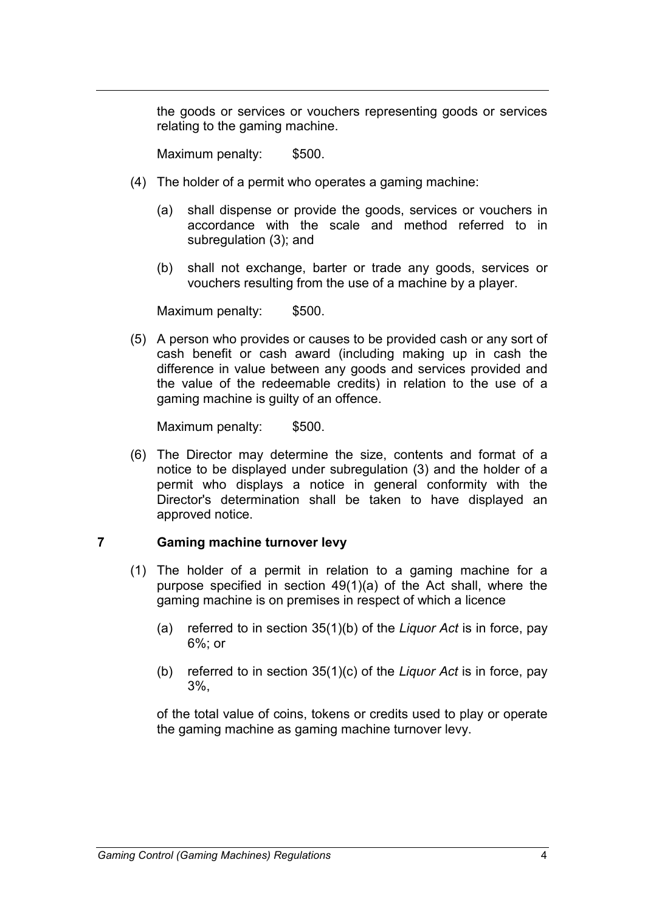the goods or services or vouchers representing goods or services relating to the gaming machine.

Maximum penalty: \$500.

- (4) The holder of a permit who operates a gaming machine:
	- (a) shall dispense or provide the goods, services or vouchers in accordance with the scale and method referred to in subregulation (3); and
	- (b) shall not exchange, barter or trade any goods, services or vouchers resulting from the use of a machine by a player.

Maximum penalty: \$500.

(5) A person who provides or causes to be provided cash or any sort of cash benefit or cash award (including making up in cash the difference in value between any goods and services provided and the value of the redeemable credits) in relation to the use of a gaming machine is guilty of an offence.

Maximum penalty: \$500.

(6) The Director may determine the size, contents and format of a notice to be displayed under subregulation (3) and the holder of a permit who displays a notice in general conformity with the Director's determination shall be taken to have displayed an approved notice.

#### **7 Gaming machine turnover levy**

- (1) The holder of a permit in relation to a gaming machine for a purpose specified in section 49(1)(a) of the Act shall, where the gaming machine is on premises in respect of which a licence
	- (a) referred to in section 35(1)(b) of the *Liquor Act* is in force, pay 6%; or
	- (b) referred to in section 35(1)(c) of the *Liquor Act* is in force, pay 3%,

of the total value of coins, tokens or credits used to play or operate the gaming machine as gaming machine turnover levy.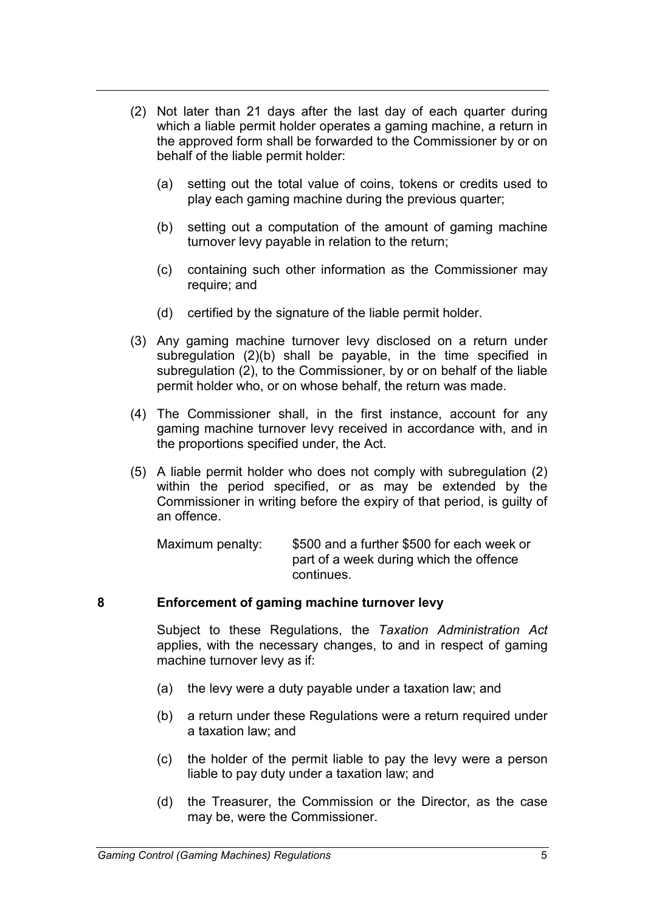- (2) Not later than 21 days after the last day of each quarter during which a liable permit holder operates a gaming machine, a return in the approved form shall be forwarded to the Commissioner by or on behalf of the liable permit holder:
	- (a) setting out the total value of coins, tokens or credits used to play each gaming machine during the previous quarter;
	- (b) setting out a computation of the amount of gaming machine turnover levy payable in relation to the return;
	- (c) containing such other information as the Commissioner may require; and
	- (d) certified by the signature of the liable permit holder.
- (3) Any gaming machine turnover levy disclosed on a return under subregulation (2)(b) shall be payable, in the time specified in subregulation (2), to the Commissioner, by or on behalf of the liable permit holder who, or on whose behalf, the return was made.
- (4) The Commissioner shall, in the first instance, account for any gaming machine turnover levy received in accordance with, and in the proportions specified under, the Act.
- (5) A liable permit holder who does not comply with subregulation (2) within the period specified, or as may be extended by the Commissioner in writing before the expiry of that period, is guilty of an offence.

Maximum penalty: \$500 and a further \$500 for each week or part of a week during which the offence continues.

#### **8 Enforcement of gaming machine turnover levy**

Subject to these Regulations, the *Taxation Administration Act* applies, with the necessary changes, to and in respect of gaming machine turnover levy as if:

- (a) the levy were a duty payable under a taxation law; and
- (b) a return under these Regulations were a return required under a taxation law; and
- (c) the holder of the permit liable to pay the levy were a person liable to pay duty under a taxation law; and
- (d) the Treasurer, the Commission or the Director, as the case may be, were the Commissioner.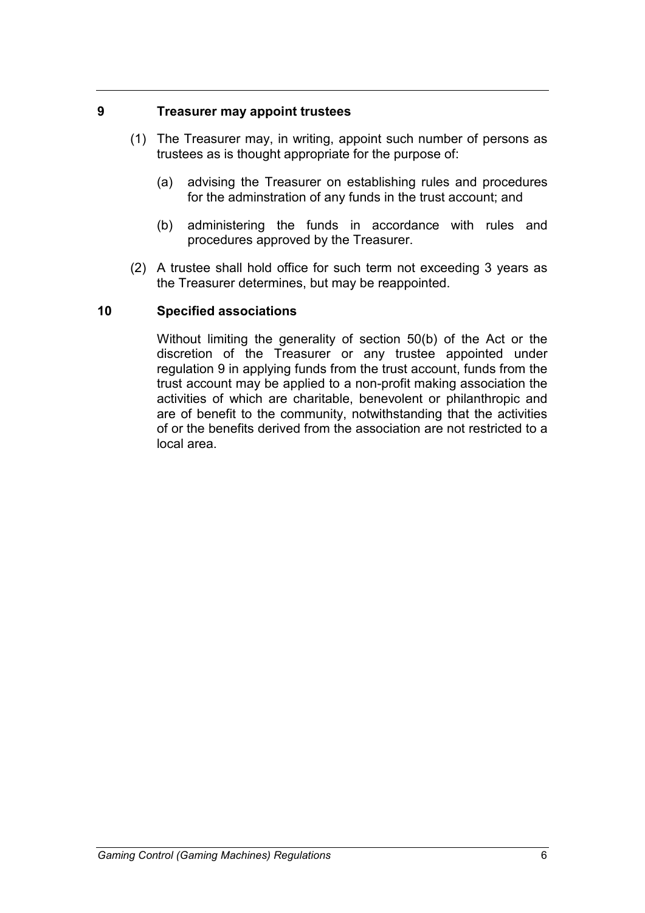#### **9 Treasurer may appoint trustees**

- (1) The Treasurer may, in writing, appoint such number of persons as trustees as is thought appropriate for the purpose of:
	- (a) advising the Treasurer on establishing rules and procedures for the adminstration of any funds in the trust account; and
	- (b) administering the funds in accordance with rules and procedures approved by the Treasurer.
- (2) A trustee shall hold office for such term not exceeding 3 years as the Treasurer determines, but may be reappointed.

#### **10 Specified associations**

Without limiting the generality of section 50(b) of the Act or the discretion of the Treasurer or any trustee appointed under regulation 9 in applying funds from the trust account, funds from the trust account may be applied to a non-profit making association the activities of which are charitable, benevolent or philanthropic and are of benefit to the community, notwithstanding that the activities of or the benefits derived from the association are not restricted to a local area.